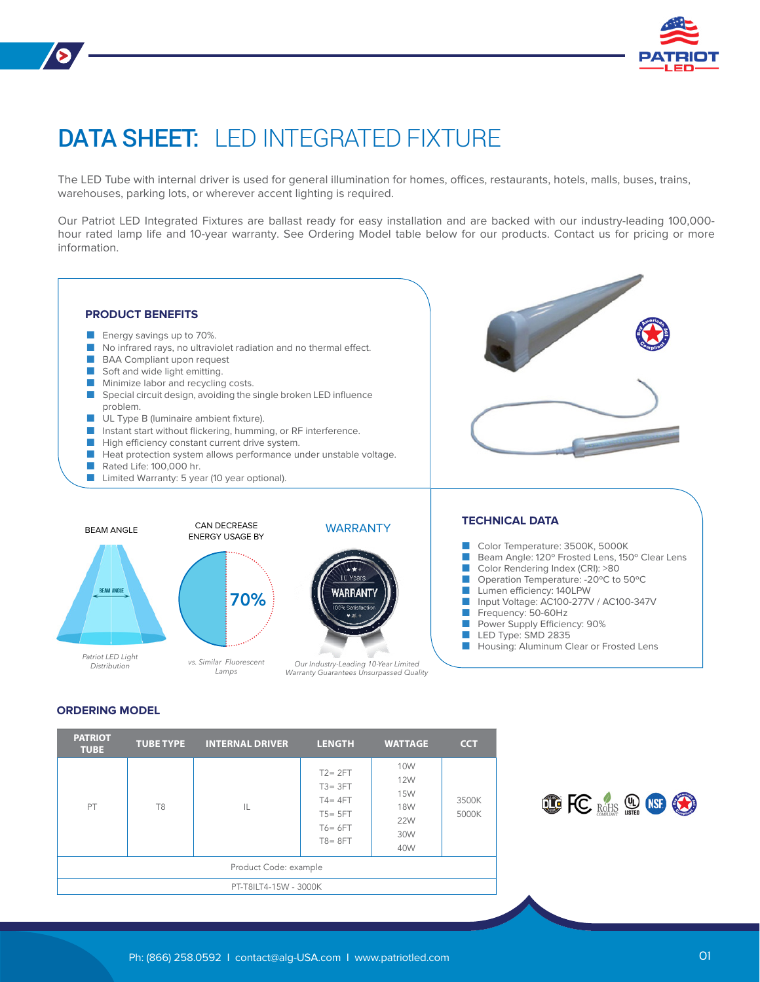

# DATA SHEET: LED INTEGRATED FIXTURE

The LED Tube with internal driver is used for general illumination for homes, offices, restaurants, hotels, malls, buses, trains, warehouses, parking lots, or wherever accent lighting is required.

Our Patriot LED Integrated Fixtures are ballast ready for easy installation and are backed with our industry-leading 100,000 hour rated lamp life and 10-year warranty. See Ordering Model table below for our products. Contact us for pricing or more information.



## **ORDERING MODEL**

| <b>PATRIOT</b><br><b>TUBE</b> | <b>TUBE TYPE</b>     | <b>INTERNAL DRIVER</b> | <b>LENGTH</b>                                                                                                                                                                   | <b>WATTAGE</b> | <b>CCT</b> |  |  |
|-------------------------------|----------------------|------------------------|---------------------------------------------------------------------------------------------------------------------------------------------------------------------------------|----------------|------------|--|--|
| PT                            | T <sub>8</sub><br>IL |                        | 10W<br>$T2 = 2FT$<br><b>12W</b><br>$T3 = 3FT$<br><b>15W</b><br>$T4 = 4FT$<br>3500K<br><b>18W</b><br>5000K<br>$T5 = 5FT$<br><b>22W</b><br>$T6 = 6FT$<br>30W<br>$T8 = 8FT$<br>40W |                |            |  |  |
| Product Code: example         |                      |                        |                                                                                                                                                                                 |                |            |  |  |
| PT-T8ILT4-15W - 3000K         |                      |                        |                                                                                                                                                                                 |                |            |  |  |

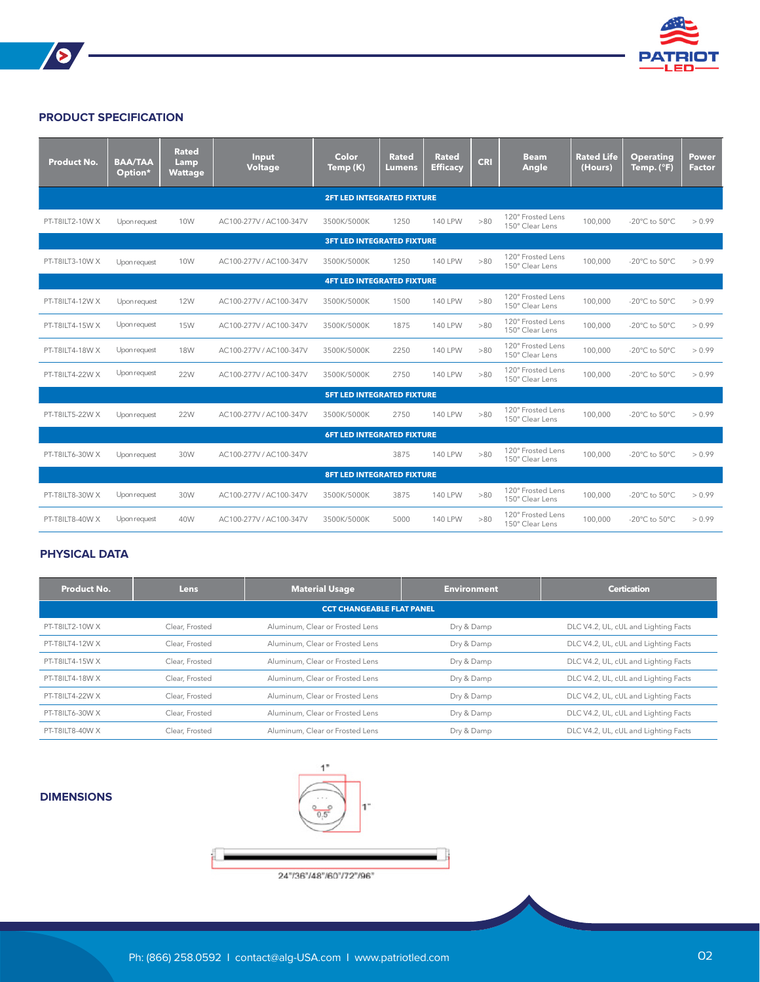

## **PRODUCT SPECIFICATION**

| <b>Product No.</b>                | <b>BAA/TAA</b><br>Option* | <b>Rated</b><br>Lamp<br><b>Wattage</b> | Input<br><b>Voltage</b> | <b>Color</b><br>Temp (K) | <b>Rated</b><br>Lumens | <b>Rated</b><br><b>Efficacy</b> | <b>CRI</b> | <b>Beam</b><br>Angle                 | <b>Rated Life</b><br>(Hours) | <b>Operating</b><br>Temp. (°F)      | Power<br><b>Factor</b> |
|-----------------------------------|---------------------------|----------------------------------------|-------------------------|--------------------------|------------------------|---------------------------------|------------|--------------------------------------|------------------------------|-------------------------------------|------------------------|
| <b>2FT LED INTEGRATED FIXTURE</b> |                           |                                        |                         |                          |                        |                                 |            |                                      |                              |                                     |                        |
| PT-T8ILT2-10W X                   | Upon request              | 10W                                    | AC100-277V / AC100-347V | 3500K/5000K              | 1250                   | <b>140 LPW</b>                  | >80        | 120° Frosted Lens<br>150° Clear Lens | 100,000                      | -20 $^{\circ}$ C to 50 $^{\circ}$ C | > 0.99                 |
| <b>3FT LED INTEGRATED FIXTURE</b> |                           |                                        |                         |                          |                        |                                 |            |                                      |                              |                                     |                        |
| PT-T8ILT3-10W X                   | Upon request              | 10W                                    | AC100-277V / AC100-347V | 3500K/5000K              | 1250                   | <b>140 LPW</b>                  | >80        | 120° Frosted Lens<br>150° Clear Lens | 100,000                      | -20 $^{\circ}$ C to 50 $^{\circ}$ C | > 0.99                 |
| <b>4FT LED INTEGRATED FIXTURE</b> |                           |                                        |                         |                          |                        |                                 |            |                                      |                              |                                     |                        |
| PT-T8ILT4-12W X                   | Upon request              | <b>12W</b>                             | AC100-277V / AC100-347V | 3500K/5000K              | 1500                   | <b>140 LPW</b>                  | >80        | 120° Frosted Lens<br>150° Clear Lens | 100,000                      | -20 $^{\circ}$ C to 50 $^{\circ}$ C | > 0.99                 |
| PT-T8ILT4-15W X                   | Upon request              | <b>15W</b>                             | AC100-277V / AC100-347V | 3500K/5000K              | 1875                   | <b>140 LPW</b>                  | >80        | 120° Frosted Lens<br>150° Clear Lens | 100,000                      | -20 $^{\circ}$ C to 50 $^{\circ}$ C | > 0.99                 |
| PT-T8ILT4-18W X                   | Upon request              | <b>18W</b>                             | AC100-277V / AC100-347V | 3500K/5000K              | 2250                   | <b>140 LPW</b>                  | >80        | 120° Frosted Lens<br>150° Clear Lens | 100,000                      | -20 $^{\circ}$ C to 50 $^{\circ}$ C | > 0.99                 |
| PT-T8ILT4-22W X                   | Upon request              | 22W                                    | AC100-277V / AC100-347V | 3500K/5000K              | 2750                   | <b>140 LPW</b>                  | >80        | 120° Frosted Lens<br>150° Clear Lens | 100,000                      | -20 $^{\circ}$ C to 50 $^{\circ}$ C | > 0.99                 |
| <b>5FT LED INTEGRATED FIXTURE</b> |                           |                                        |                         |                          |                        |                                 |            |                                      |                              |                                     |                        |
| PT-T8ILT5-22W X                   | Upon request              | <b>22W</b>                             | AC100-277V / AC100-347V | 3500K/5000K              | 2750                   | <b>140 LPW</b>                  | >80        | 120° Frosted Lens<br>150° Clear Lens | 100,000                      | -20 $^{\circ}$ C to 50 $^{\circ}$ C | > 0.99                 |
| <b>6FT LED INTEGRATED FIXTURE</b> |                           |                                        |                         |                          |                        |                                 |            |                                      |                              |                                     |                        |
| PT-T8ILT6-30W X                   | Upon request              | 30W                                    | AC100-277V / AC100-347V |                          | 3875                   | <b>140 LPW</b>                  | >80        | 120° Frosted Lens<br>150° Clear Lens | 100,000                      | -20 $^{\circ}$ C to 50 $^{\circ}$ C | > 0.99                 |
| <b>8FT LED INTEGRATED FIXTURE</b> |                           |                                        |                         |                          |                        |                                 |            |                                      |                              |                                     |                        |
| PT-T8ILT8-30W X                   | Upon request              | 30W                                    | AC100-277V / AC100-347V | 3500K/5000K              | 3875                   | <b>140 LPW</b>                  | >80        | 120° Frosted Lens<br>150° Clear Lens | 100,000                      | -20 $^{\circ}$ C to 50 $^{\circ}$ C | > 0.99                 |
| PT-T8ILT8-40W X                   | Upon request              | 40W                                    | AC100-277V / AC100-347V | 3500K/5000K              | 5000                   | <b>140 LPW</b>                  | >80        | 120° Frosted Lens<br>150° Clear Lens | 100,000                      | -20 $^{\circ}$ C to 50 $^{\circ}$ C | > 0.99                 |

<u> 1989 - Johann Barn, mars ann an t-Amhain</u>

### **PHYSICAL DATA**

| Product No.                      | <b>Lens</b>    | <b>Material Usage</b>           | <b>Environment</b> | <b>Certication</b>                   |  |  |  |
|----------------------------------|----------------|---------------------------------|--------------------|--------------------------------------|--|--|--|
| <b>CCT CHANGEABLE FLAT PANEL</b> |                |                                 |                    |                                      |  |  |  |
| PT-T8II T2-10W X                 | Clear, Frosted | Aluminum, Clear or Frosted Lens | Dry & Damp         | DLC V4.2, UL, cUL and Lighting Facts |  |  |  |
| PT-T8IIT4-12W X                  | Clear, Frosted | Aluminum, Clear or Frosted Lens | Dry & Damp         | DLC V4.2, UL, cUL and Lighting Facts |  |  |  |
| PT-T8IIT4-15W X                  | Clear, Frosted | Aluminum, Clear or Frosted Lens | Dry & Damp         | DLC V4.2, UL, cUL and Lighting Facts |  |  |  |
| PT-T8IIT4-18W X                  | Clear, Frosted | Aluminum, Clear or Frosted Lens | Dry & Damp         | DLC V4.2, UL, cUL and Lighting Facts |  |  |  |
| PT-T8IIT4-22W X                  | Clear, Frosted | Aluminum, Clear or Frosted Lens | Dry & Damp         | DLC V4.2, UL, cUL and Lighting Facts |  |  |  |
| PT-T8IIT6-30W X                  | Clear, Frosted | Aluminum, Clear or Frosted Lens | Dry & Damp         | DLC V4.2, UL, cUL and Lighting Facts |  |  |  |
| PT-T8II T8-40W X                 | Clear, Frosted | Aluminum, Clear or Frosted Lens | Dry & Damp         | DLC V4.2, UL, cUL and Lighting Facts |  |  |  |

### **DIMENSIONS**